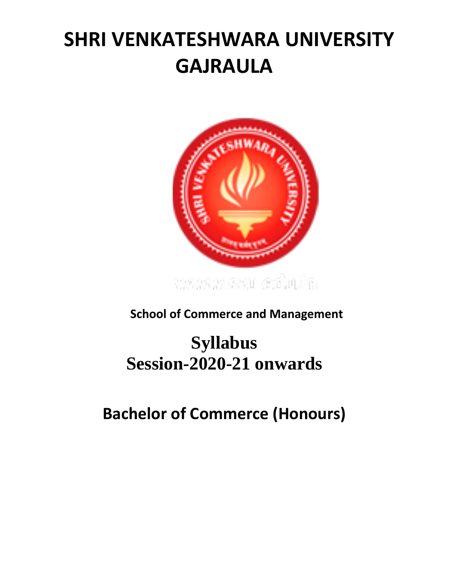# **SHRI VENKATESHWARA UNIVERSITY GAJRAULA**



**School of Commerce and Management**

# **Syllabus Session-2020-21 onwards**

**Bachelor of Commerce (Honours)**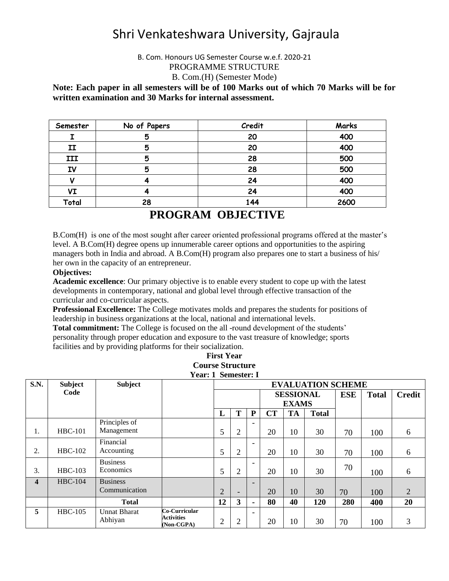# Shri Venkateshwara University, Gajraula

B. Com. Honours UG Semester Course w.e.f. 2020-21 PROGRAMME STRUCTURE B. Com.(H) (Semester Mode)

**Note: Each paper in all semesters will be of 100 Marks out of which 70 Marks will be for written examination and 30 Marks for internal assessment.** 

| Semester | No of Papers | Credit | Marks |
|----------|--------------|--------|-------|
|          |              | 20     | 400   |
| II       | .,           | 20     | 400   |
| III      | 5            | 28     | 500   |
| IV       | 5            | 28     | 500   |
|          |              | 24     | 400   |
| VI       |              | 24     | 400   |
| Total    | 28           | 144    | 2600  |

# **PROGRAM OBJECTIVE**

B.Com(H) is one of the most sought after career oriented professional programs offered at the master's level. A B.Com(H) degree opens up innumerable career options and opportunities to the aspiring managers both in India and abroad. A B.Com(H) program also prepares one to start a business of his/ her own in the capacity of an entrepreneur.

#### **Objectives:**

**Academic excellence**: Our primary objective is to enable every student to cope up with the latest developments in contemporary, national and global level through effective transaction of the curricular and co-curricular aspects.

**Professional Excellence:** The College motivates molds and prepares the students for positions of leadership in business organizations at the local, national and international levels.

**Total commitment:** The College is focused on the all -round development of the students' personality through proper education and exposure to the vast treasure of knowledge; sports facilities and by providing platforms for their socialization.

| S.N.                    | <b>Subject</b> | <b>Subject</b>                   |                                                  | <b>EVALUATION SCHEME</b> |                |                          |                                  |           |              |              |               |                |
|-------------------------|----------------|----------------------------------|--------------------------------------------------|--------------------------|----------------|--------------------------|----------------------------------|-----------|--------------|--------------|---------------|----------------|
|                         | Code           |                                  |                                                  |                          |                |                          | <b>SESSIONAL</b><br><b>EXAMS</b> |           | <b>ESE</b>   | <b>Total</b> | <b>Credit</b> |                |
|                         |                |                                  |                                                  | L                        | т              | ${\bf P}$                | CT                               | <b>TA</b> | <b>Total</b> |              |               |                |
| 1.                      | $HBC-101$      | Principles of<br>Management      |                                                  | 5                        | 2              | $\qquad \qquad -$        | 20                               | 10        | 30           | 70           | 100           | 6              |
| 2.                      | <b>HBC-102</b> | Financial<br>Accounting          |                                                  | 5                        | $\overline{2}$ | $\overline{\phantom{0}}$ | 20                               | 10        | 30           | 70           | 100           | 6              |
| 3.                      | <b>HBC-103</b> | <b>Business</b><br>Economics     |                                                  | 5                        | $\overline{2}$ | $\qquad \qquad -$        | 20                               | 10        | 30           | 70           | 100           | 6              |
| $\overline{\mathbf{4}}$ | <b>HBC-104</b> | <b>Business</b><br>Communication |                                                  | $\overline{2}$           |                | $\overline{\phantom{0}}$ | 20                               | 10        | 30           | 70           | 100           | $\overline{2}$ |
|                         |                | <b>Total</b>                     |                                                  | 12                       | 3              | $\blacksquare$           | 80                               | 40        | 120          | 280          | 400           | 20             |
| 5                       | <b>HBC-105</b> | <b>Unnat Bharat</b><br>Abhiyan   | Co-Curricular<br><b>Activities</b><br>(Non-CGPA) | $\overline{2}$           | 2              | $\qquad \qquad -$        | 20                               | 10        | 30           | 70           | 100           | 3              |

**First Year Course Structure Year: 1 Semester: I**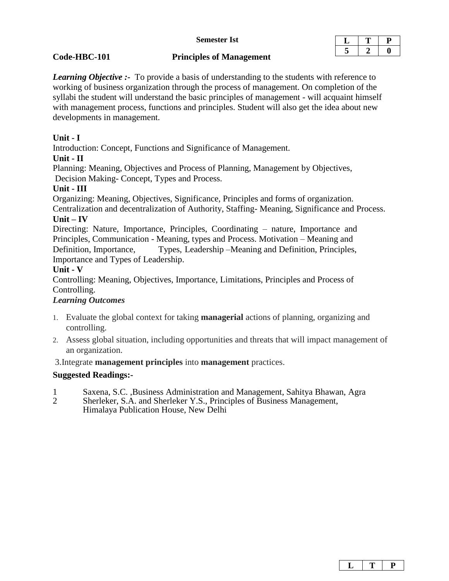#### **Semester Ist**

#### **Code-HBC-101 Principles of Management**

*Learning Objective :-* To provide a basis of understanding to the students with reference to working of business organization through the process of management. On completion of the syllabi the student will understand the basic principles of management - will acquaint himself with management process, functions and principles. Student will also get the idea about new developments in management.

# **Unit - I**

Introduction: Concept, Functions and Significance of Management.

#### **Unit - II**

Planning: Meaning, Objectives and Process of Planning, Management by Objectives, Decision Making- Concept, Types and Process.

### **Unit - III**

Organizing: Meaning, Objectives, Significance, Principles and forms of organization. Centralization and decentralization of Authority, Staffing- Meaning, Significance and Process. **Unit – IV**

Directing: Nature, Importance, Principles, Coordinating – nature, Importance and Principles, Communication - Meaning, types and Process. Motivation – Meaning and Definition, Importance, Types, Leadership –Meaning and Definition, Principles, Importance and Types of Leadership.

#### **Unit - V**

Controlling: Meaning, Objectives, Importance, Limitations, Principles and Process of Controlling.

### *Learning Outcomes*

- 1. Evaluate the global context for taking **managerial** actions of planning, organizing and controlling.
- 2. Assess global situation, including opportunities and threats that will impact management of an organization.

3.Integrate **management principles** into **management** practices.

# **Suggested Readings:-**

- 1 Saxena, S.C. ,Business Administration and Management, Sahitya Bhawan, Agra
- 2 Sherleker, S.A. and Sherleker Y.S., Principles of Business Management, Himalaya Publication House, New Delhi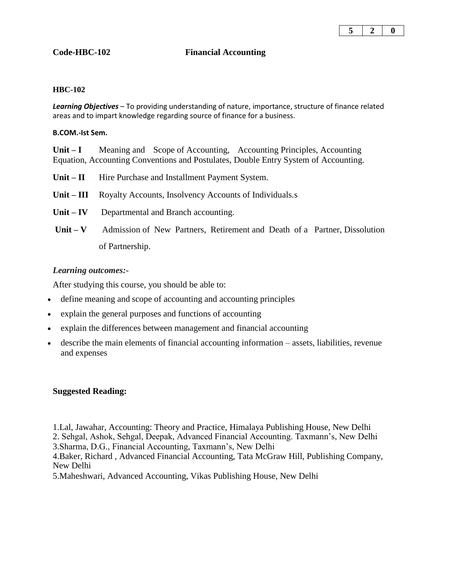

### **Code-HBC-102 Financial Accounting**

#### **HBC-102**

*Learning Objectives* – To providing understanding of nature, importance, structure of finance related areas and to impart knowledge regarding source of finance for a business.

#### **B.COM.-Ist Sem.**

**Unit – I** Meaning and Scope of Accounting, Accounting Principles, Accounting Equation, Accounting Conventions and Postulates, Double Entry System of Accounting.

- Unit II Hire Purchase and Installment Payment System.
- **Unit – III** Royalty Accounts, Insolvency Accounts of Individuals.s
- Unit **IV** Departmental and Branch accounting.
- **Unit – V** Admission of New Partners, Retirement and Death of a Partner, Dissolution of Partnership.

#### *Learning outcomes:-*

After studying this course, you should be able to:

- define meaning and scope of accounting and accounting principles
- explain the general purposes and functions of accounting
- explain the differences between management and financial accounting
- describe the main elements of financial accounting information assets, liabilities, revenue and expenses

#### **Suggested Reading:**

1.Lal, Jawahar, Accounting: Theory and Practice, Himalaya Publishing House, New Delhi

2. Sehgal, Ashok, Sehgal, Deepak, Advanced Financial Accounting. Taxmann's, New Delhi

3.Sharma, D.G., Financial Accounting, Taxmann's, New Delhi

4.Baker, Richard , Advanced Financial Accounting, Tata McGraw Hill, Publishing Company, New Delhi

5.Maheshwari, Advanced Accounting, Vikas Publishing House, New Delhi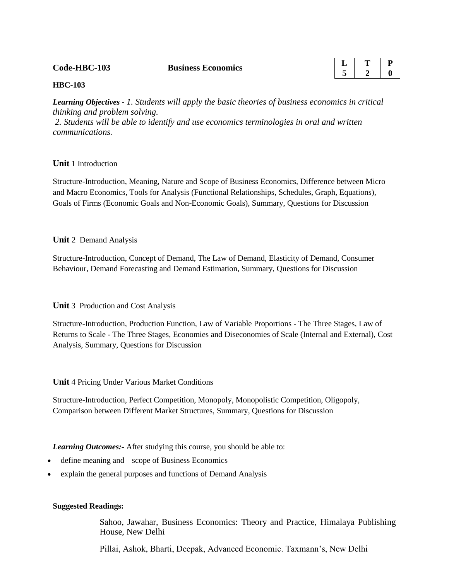**Code-HBC-103 Business Economics** 

| г |  |
|---|--|
|   |  |

#### **HBC-103**

*Learning Objectives - 1. Students will apply the basic theories of business economics in critical thinking and problem solving. 2. Students will be able to identify and use economics terminologies in oral and written* 

*communications.*

#### **Unit** 1 Introduction

Structure-Introduction, Meaning, Nature and Scope of Business Economics, Difference between Micro and Macro Economics, Tools for Analysis (Functional Relationships, Schedules, Graph, Equations), Goals of Firms (Economic Goals and Non-Economic Goals), Summary, Questions for Discussion

#### **Unit** 2 Demand Analysis

Structure-Introduction, Concept of Demand, The Law of Demand, Elasticity of Demand, Consumer Behaviour, Demand Forecasting and Demand Estimation, Summary, Questions for Discussion

#### **Unit** 3 Production and Cost Analysis

Structure-Introduction, Production Function, Law of Variable Proportions - The Three Stages, Law of Returns to Scale - The Three Stages, Economies and Diseconomies of Scale (Internal and External), Cost Analysis, Summary, Questions for Discussion

**Unit** 4 Pricing Under Various Market Conditions

Structure-Introduction, Perfect Competition, Monopoly, Monopolistic Competition, Oligopoly, Comparison between Different Market Structures, Summary, Questions for Discussion

*Learning Outcomes:-* After studying this course, you should be able to:

- define meaning and scope of Business Economics
- explain the general purposes and functions of Demand Analysis

#### **Suggested Readings:**

Sahoo, Jawahar, Business Economics: Theory and Practice, Himalaya Publishing House, New Delhi

Pillai, Ashok, Bharti, Deepak, Advanced Economic. Taxmann's, New Delhi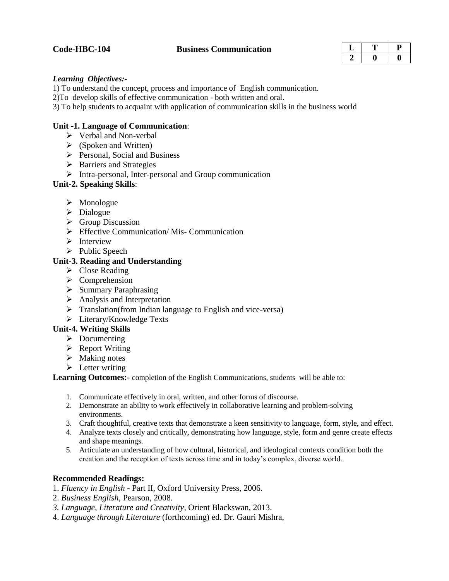#### **Code-HBC-104 Business Communication**

#### *Learning Objectives:-*

1) To understand the concept, process and importance of English communication.

2)To develop skills of effective communication - both written and oral.

3) To help students to acquaint with application of communication skills in the business world

#### **Unit -1. Language of Communication**:

- Verbal and Non-verbal
- $\triangleright$  (Spoken and Written)
- $\triangleright$  Personal, Social and Business
- $\triangleright$  Barriers and Strategies
- $\triangleright$  Intra-personal, Inter-personal and Group communication

#### **Unit-2. Speaking Skills**:

- $\triangleright$  Monologue
- $\triangleright$  Dialogue
- $\triangleright$  Group Discussion
- $\triangleright$  Effective Communication/Mis- Communication
- $\triangleright$  Interview
- $\triangleright$  Public Speech

#### **Unit-3. Reading and Understanding**

- $\triangleright$  Close Reading
- $\triangleright$  Comprehension
- $\triangleright$  Summary Paraphrasing
- $\triangleright$  Analysis and Interpretation
- $\triangleright$  Translation(from Indian language to English and vice-versa)
- Literary/Knowledge Texts

#### **Unit-4. Writing Skills**

- $\triangleright$  Documenting
- $\triangleright$  Report Writing
- $\triangleright$  Making notes
- $\triangleright$  Letter writing

**Learning Outcomes:-** completion of the English Communications, students will be able to:

- 1. Communicate effectively in oral, written, and other forms of discourse.
- 2. Demonstrate an ability to work effectively in collaborative learning and problem-solving environments.
- 3. Craft thoughtful, creative texts that demonstrate a keen sensitivity to language, form, style, and effect.
- 4. Analyze texts closely and critically, demonstrating how language, style, form and genre create effects and shape meanings.
- 5. Articulate an understanding of how cultural, historical, and ideological contexts condition both the creation and the reception of texts across time and in today's complex, diverse world.

#### **Recommended Readings:**

- 1. *Fluency in English*  Part II, Oxford University Press, 2006.
- 2. *Business English*, Pearson, 2008.
- *3. Language, Literature and Creativity*, Orient Blackswan, 2013.
- 4. *Language through Literature* (forthcoming) ed. Dr. Gauri Mishra,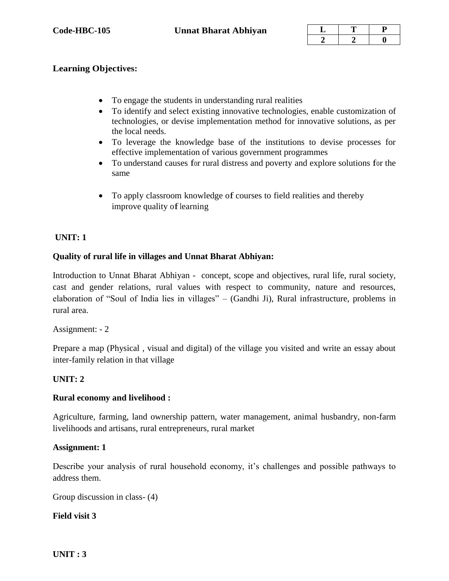# **Learning Objectives:**

- To engage the students in understanding rural realities
- To identify and select existing innovative technologies, enable customization of technologies, or devise implementation method for innovative solutions, as per the local needs.
- To leverage the knowledge base of the institutions to devise processes for effective implementation of various government programmes
- To understand causes for rural distress and poverty and explore solutions for the same
- To apply classroom knowledge of courses to field realities and thereby improve quality of learning

# **UNIT: 1**

# **Quality of rural life in villages and Unnat Bharat Abhiyan:**

Introduction to Unnat Bharat Abhiyan - concept, scope and objectives, rural life, rural society, cast and gender relations, rural values with respect to community, nature and resources, elaboration of "Soul of India lies in villages" – (Gandhi Ji), Rural infrastructure, problems in rural area.

# Assignment: - 2

Prepare a map (Physical , visual and digital) of the village you visited and write an essay about inter-family relation in that village

# **UNIT: 2**

# **Rural economy and livelihood :**

Agriculture, farming, land ownership pattern, water management, animal husbandry, non-farm livelihoods and artisans, rural entrepreneurs, rural market

# **Assignment: 1**

Describe your analysis of rural household economy, it's challenges and possible pathways to address them.

Group discussion in class- (4)

# **Field visit 3**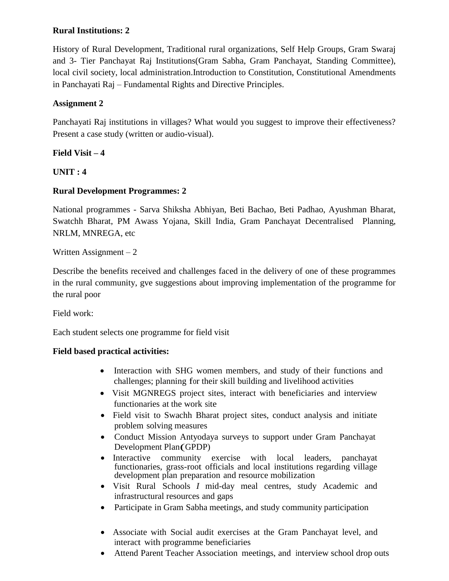# **Rural Institutions: 2**

History of Rural Development, Traditional rural organizations, Self Help Groups, Gram Swaraj and 3- Tier Panchayat Raj Institutions(Gram Sabha, Gram Panchayat, Standing Committee), local civil society, local administration.Introduction to Constitution, Constitutional Amendments in Panchayati Raj – Fundamental Rights and Directive Principles.

# **Assignment 2**

Panchayati Raj institutions in villages? What would you suggest to improve their effectiveness? Present a case study (written or audio-visual).

# **Field Visit – 4**

**UNIT : 4**

# **Rural Development Programmes: 2**

National programmes - Sarva Shiksha Abhiyan, Beti Bachao, Beti Padhao, Ayushman Bharat, Swatchh Bharat, PM Awass Yojana, Skill India, Gram Panchayat Decentralised Planning, NRLM, MNREGA, etc

Written Assignment – 2

Describe the benefits received and challenges faced in the delivery of one of these programmes in the rural community, gve suggestions about improving implementation of the programme for the rural poor

Field work:

Each student selects one programme for field visit

# **Field based practical activities:**

- Interaction with SHG women members, and study of their functions and challenges; planning for their skill building and livelihood activities
- Visit MGNREGS project sites, interact with beneficiaries and interview functionaries at the work site
- Field visit to Swachh Bharat project sites, conduct analysis and initiate problem solving measures
- Conduct Mission Antyodaya surveys to support under Gram Panchayat Development Plan(GPDP)
- Interactive community exercise with local leaders, panchayat functionaries, grass-root officials and local institutions regarding village development plan preparation and resource mobilization
- Visit Rural Schools *I* mid-day meal centres, study Academic and infrastructural resources and gaps
- Participate in Gram Sabha meetings, and study community participation
- Associate with Social audit exercises at the Gram Panchayat level, and interact with programme beneficiaries
- Attend Parent Teacher Association meetings, and interview school drop outs